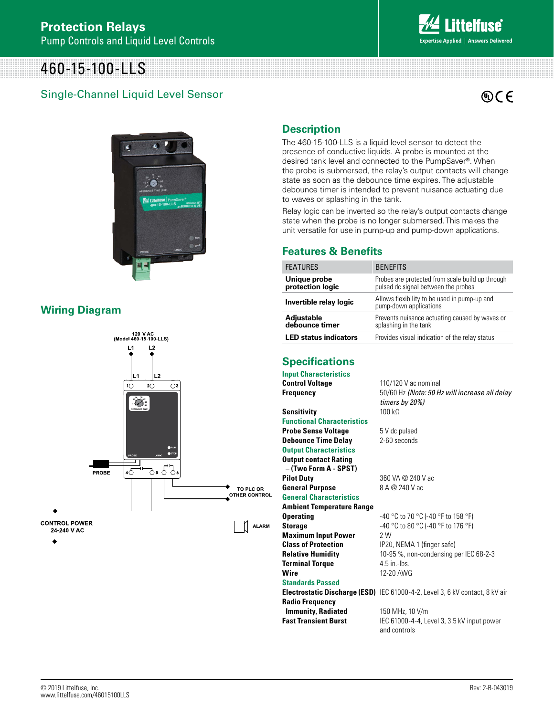# 460-15-100-LLS

## Single-Channel Liquid Level Sensor





#### **Wiring Diagram**



#### **Description**

The 460-15-100-LLS is a liquid level sensor to detect the presence of conductive liquids. A probe is mounted at the desired tank level and connected to the PumpSaver®. When the probe is submersed, the relay's output contacts will change state as soon as the debounce time expires. The adjustable debounce timer is intended to prevent nuisance actuating due to waves or splashing in the tank.

Relay logic can be inverted so the relay's output contacts change state when the probe is no longer submersed. This makes the unit versatile for use in pump-up and pump-down applications.

#### **Features & Benefits**

| <b>FEATURES</b>                  | <b>BENEFITS</b>                                                                         |
|----------------------------------|-----------------------------------------------------------------------------------------|
| Unique probe<br>protection logic | Probes are protected from scale build up through<br>pulsed dc signal between the probes |
| Invertible relay logic           | Allows flexibility to be used in pump-up and<br>pump-down applications                  |
| Adjustable<br>debounce timer     | Prevents nuisance actuating caused by waves or<br>splashing in the tank                 |
| <b>LED status indicators</b>     | Provides visual indication of the relay status                                          |

*timers by 20%)*

### **Specifications**

**Input Characteristics Control Voltage** 110/120 V ac nominal **Frequency** 50/60 Hz *(Note: 50 Hz will increase all delay* 

Sensitivity 100 kΩ **Functional Characteristics**

**Probe Sense Voltage** 5 V dc pulsed **Debounce Time Delay** 2-60 seconds **Output Characteristics Output contact Rating – (Two Form A - SPST)**

**Pilot Duty** 360 VA @ 240 V ac<br>**General Purpose** 8 A @ 240 V ac **General Purpose** 

**General Characteristics**

**Ambient Temperature Range Operating**  $-40^{\circ}$ C to 70  $^{\circ}$ C (-40  $^{\circ}$ F to 158  $^{\circ}$ F)

**Storage** -40 °C to 80 °C (-40 °F to 176 °F) **Maximum Input Power** 2 W **Terminal Torque** 4.5 in.-lbs. **Wire** 12-20 AWG

**Class of Protection** IP20, NEMA 1 (finger safe) **Relative Humidity** 10-95 %, non-condensing per IEC 68-2-3

#### **Standards Passed**

**Electrostatic Discharge (ESD)** IEC 61000-4-2, Level 3, 6 kV contact, 8 kV air **Radio Frequency** 

**Immunity, Radiated** 150 MHz, 10 V/m

**Fast Transient Burst** IEC 61000-4-4, Level 3, 3.5 kV input power

and controls

© 2019 Littelfuse, Inc. www.littelfuse.com/ www.littelfuse.com/46015100LLS